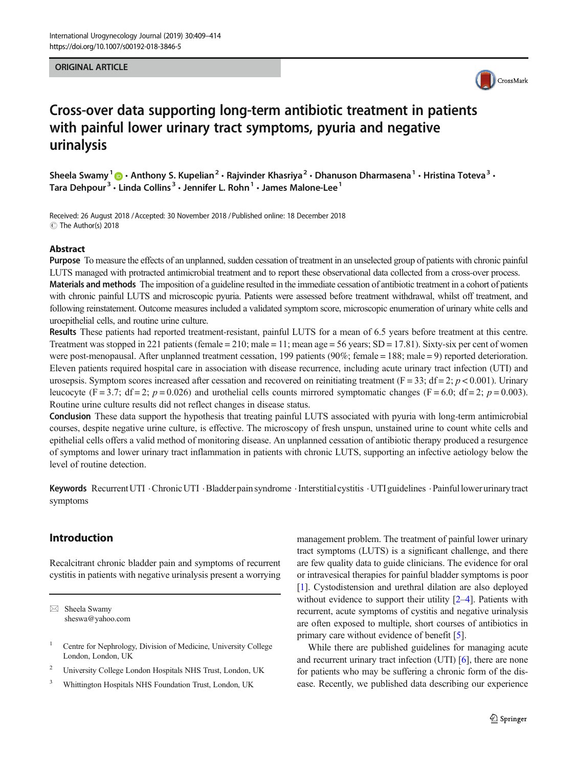#### ORIGINAL ARTICLE



# Cross-over data supporting long-term antibiotic treatment in patients with painful lower urinary tract symptoms, pyuria and negative urinalysis

Sheela Swamy<sup>1</sup>  $\cdot$  Anthony S. Kupelian<sup>2</sup>  $\cdot$  Rajvinder Khasriya<sup>2</sup>  $\cdot$  Dhanuson Dharmasena<sup>1</sup>  $\cdot$  Hristina Toteva<sup>3</sup>  $\cdot$ Tara Dehpour<sup>3</sup> • Linda Collins<sup>3</sup> • Jennifer L. Rohn<sup>1</sup> • James Malone-Lee<sup>1</sup>

Received: 26 August 2018 /Accepted: 30 November 2018 /Published online: 18 December 2018 C The Author(s) 2018

#### **Abstract**

Purpose To measure the effects of an unplanned, sudden cessation of treatment in an unselected group of patients with chronic painful LUTS managed with protracted antimicrobial treatment and to report these observational data collected from a cross-over process.

Materials and methods The imposition of a guideline resulted in the immediate cessation of antibiotic treatment in a cohort of patients with chronic painful LUTS and microscopic pyuria. Patients were assessed before treatment withdrawal, whilst off treatment, and following reinstatement. Outcome measures included a validated symptom score, microscopic enumeration of urinary white cells and uroepithelial cells, and routine urine culture.

Results These patients had reported treatment-resistant, painful LUTS for a mean of 6.5 years before treatment at this centre. Treatment was stopped in 221 patients (female = 210; male = 11; mean age = 56 years;  $SD = 17.81$ ). Sixty-six per cent of women were post-menopausal. After unplanned treatment cessation, 199 patients (90%; female = 188; male = 9) reported deterioration. Eleven patients required hospital care in association with disease recurrence, including acute urinary tract infection (UTI) and urosepsis. Symptom scores increased after cessation and recovered on reinitiating treatment ( $F = 33$ ; df = 2;  $p < 0.001$ ). Urinary leucocyte (F = 3.7; df = 2;  $p = 0.026$ ) and urothelial cells counts mirrored symptomatic changes (F = 6.0; df = 2;  $p = 0.003$ ). Routine urine culture results did not reflect changes in disease status.

Conclusion These data support the hypothesis that treating painful LUTS associated with pyuria with long-term antimicrobial courses, despite negative urine culture, is effective. The microscopy of fresh unspun, unstained urine to count white cells and epithelial cells offers a valid method of monitoring disease. An unplanned cessation of antibiotic therapy produced a resurgence of symptoms and lower urinary tract inflammation in patients with chronic LUTS, supporting an infective aetiology below the level of routine detection.

Keywords Recurrent UTI .Chronic UTI .Bladder pain syndrome .Interstitial cystitis .UTI guidelines .Painfullower urinarytract symptoms

## Introduction

Recalcitrant chronic bladder pain and symptoms of recurrent cystitis in patients with negative urinalysis present a worrying

 $\boxtimes$  Sheela Swamy [sheswa@yahoo.com](mailto:sheswa@yahoo.com)

- <sup>2</sup> University College London Hospitals NHS Trust, London, UK
- <sup>3</sup> Whittington Hospitals NHS Foundation Trust, London, UK

management problem. The treatment of painful lower urinary tract symptoms (LUTS) is a significant challenge, and there are few quality data to guide clinicians. The evidence for oral or intravesical therapies for painful bladder symptoms is poor [\[1](#page-5-0)]. Cystodistension and urethral dilation are also deployed without evidence to support their utility [[2](#page-5-0)–[4](#page-5-0)]. Patients with recurrent, acute symptoms of cystitis and negative urinalysis are often exposed to multiple, short courses of antibiotics in primary care without evidence of benefit [\[5](#page-5-0)].

While there are published guidelines for managing acute and recurrent urinary tract infection (UTI) [[6\]](#page-5-0), there are none for patients who may be suffering a chronic form of the disease. Recently, we published data describing our experience

<sup>1</sup> Centre for Nephrology, Division of Medicine, University College London, London, UK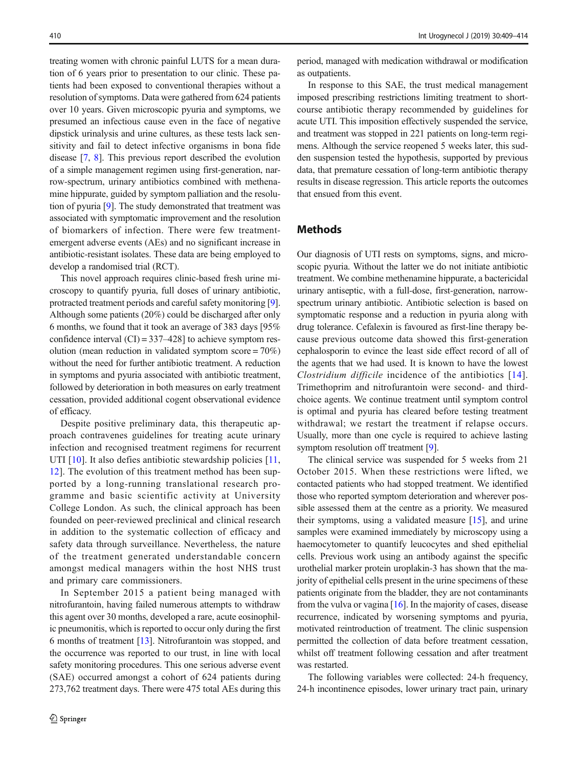treating women with chronic painful LUTS for a mean duration of 6 years prior to presentation to our clinic. These patients had been exposed to conventional therapies without a resolution of symptoms. Data were gathered from 624 patients over 10 years. Given microscopic pyuria and symptoms, we presumed an infectious cause even in the face of negative dipstick urinalysis and urine cultures, as these tests lack sensitivity and fail to detect infective organisms in bona fide disease [[7,](#page-5-0) [8\]](#page-5-0). This previous report described the evolution of a simple management regimen using first-generation, narrow-spectrum, urinary antibiotics combined with methenamine hippurate, guided by symptom palliation and the resolution of pyuria [\[9](#page-5-0)]. The study demonstrated that treatment was associated with symptomatic improvement and the resolution of biomarkers of infection. There were few treatmentemergent adverse events (AEs) and no significant increase in antibiotic-resistant isolates. These data are being employed to develop a randomised trial (RCT).

This novel approach requires clinic-based fresh urine microscopy to quantify pyuria, full doses of urinary antibiotic, protracted treatment periods and careful safety monitoring [[9\]](#page-5-0). Although some patients (20%) could be discharged after only 6 months, we found that it took an average of 383 days [95% confidence interval  $(CI) = 337-428$ ] to achieve symptom resolution (mean reduction in validated symptom score = 70%) without the need for further antibiotic treatment. A reduction in symptoms and pyuria associated with antibiotic treatment, followed by deterioration in both measures on early treatment cessation, provided additional cogent observational evidence of efficacy.

Despite positive preliminary data, this therapeutic approach contravenes guidelines for treating acute urinary infection and recognised treatment regimens for recurrent UTI [[10\]](#page-5-0). It also defies antibiotic stewardship policies [[11,](#page-5-0) [12](#page-5-0)]. The evolution of this treatment method has been supported by a long-running translational research programme and basic scientific activity at University College London. As such, the clinical approach has been founded on peer-reviewed preclinical and clinical research in addition to the systematic collection of efficacy and safety data through surveillance. Nevertheless, the nature of the treatment generated understandable concern amongst medical managers within the host NHS trust and primary care commissioners.

In September 2015 a patient being managed with nitrofurantoin, having failed numerous attempts to withdraw this agent over 30 months, developed a rare, acute eosinophilic pneumonitis, which is reported to occur only during the first 6 months of treatment [\[13\]](#page-5-0). Nitrofurantoin was stopped, and the occurrence was reported to our trust, in line with local safety monitoring procedures. This one serious adverse event (SAE) occurred amongst a cohort of 624 patients during 273,762 treatment days. There were 475 total AEs during this

period, managed with medication withdrawal or modification as outpatients.

In response to this SAE, the trust medical management imposed prescribing restrictions limiting treatment to shortcourse antibiotic therapy recommended by guidelines for acute UTI. This imposition effectively suspended the service, and treatment was stopped in 221 patients on long-term regimens. Although the service reopened 5 weeks later, this sudden suspension tested the hypothesis, supported by previous data, that premature cessation of long-term antibiotic therapy results in disease regression. This article reports the outcomes that ensued from this event.

## Methods

Our diagnosis of UTI rests on symptoms, signs, and microscopic pyuria. Without the latter we do not initiate antibiotic treatment. We combine methenamine hippurate, a bactericidal urinary antiseptic, with a full-dose, first-generation, narrowspectrum urinary antibiotic. Antibiotic selection is based on symptomatic response and a reduction in pyuria along with drug tolerance. Cefalexin is favoured as first-line therapy because previous outcome data showed this first-generation cephalosporin to evince the least side effect record of all of the agents that we had used. It is known to have the lowest Clostridium difficile incidence of the antibiotics [\[14](#page-5-0)]. Trimethoprim and nitrofurantoin were second- and thirdchoice agents. We continue treatment until symptom control is optimal and pyuria has cleared before testing treatment withdrawal; we restart the treatment if relapse occurs. Usually, more than one cycle is required to achieve lasting symptom resolution off treatment [\[9\]](#page-5-0).

The clinical service was suspended for 5 weeks from 21 October 2015. When these restrictions were lifted, we contacted patients who had stopped treatment. We identified those who reported symptom deterioration and wherever possible assessed them at the centre as a priority. We measured their symptoms, using a validated measure [[15\]](#page-5-0), and urine samples were examined immediately by microscopy using a haemocytometer to quantify leucocytes and shed epithelial cells. Previous work using an antibody against the specific urothelial marker protein uroplakin-3 has shown that the majority of epithelial cells present in the urine specimens of these patients originate from the bladder, they are not contaminants from the vulva or vagina [[16](#page-5-0)]. In the majority of cases, disease recurrence, indicated by worsening symptoms and pyuria, motivated reintroduction of treatment. The clinic suspension permitted the collection of data before treatment cessation, whilst off treatment following cessation and after treatment was restarted.

The following variables were collected: 24-h frequency, 24-h incontinence episodes, lower urinary tract pain, urinary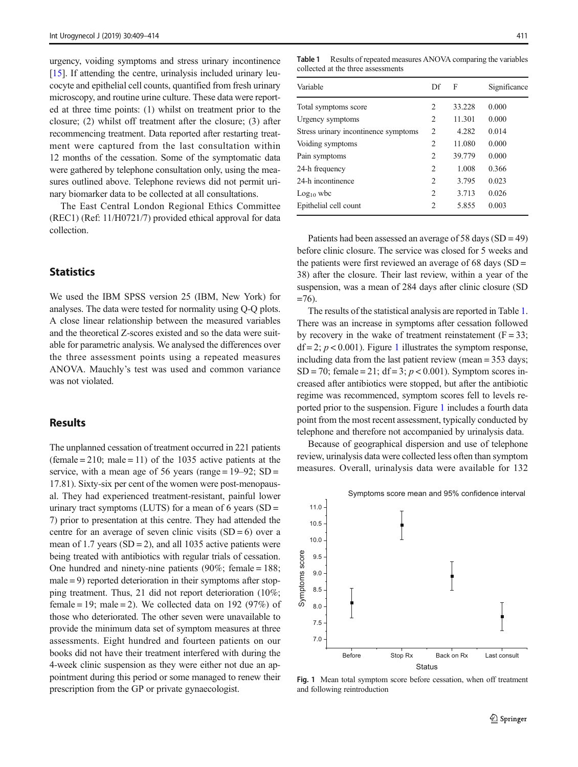urgency, voiding symptoms and stress urinary incontinence [\[15\]](#page-5-0). If attending the centre, urinalysis included urinary leucocyte and epithelial cell counts, quantified from fresh urinary microscopy, and routine urine culture. These data were reported at three time points: (1) whilst on treatment prior to the closure; (2) whilst off treatment after the closure; (3) after recommencing treatment. Data reported after restarting treatment were captured from the last consultation within 12 months of the cessation. Some of the symptomatic data were gathered by telephone consultation only, using the measures outlined above. Telephone reviews did not permit urinary biomarker data to be collected at all consultations.

The East Central London Regional Ethics Committee (REC1) (Ref: 11/H0721/7) provided ethical approval for data collection.

## **Statistics**

We used the IBM SPSS version 25 (IBM, New York) for analyses. The data were tested for normality using Q-Q plots. A close linear relationship between the measured variables and the theoretical Z-scores existed and so the data were suitable for parametric analysis. We analysed the differences over the three assessment points using a repeated measures ANOVA. Mauchly's test was used and common variance was not violated.

#### **Results**

The unplanned cessation of treatment occurred in 221 patients (female  $= 210$ ; male  $= 11$ ) of the 1035 active patients at the service, with a mean age of 56 years (range =  $19-92$ ; SD = 17.81). Sixty-six per cent of the women were post-menopausal. They had experienced treatment-resistant, painful lower urinary tract symptoms (LUTS) for a mean of 6 years  $(SD =$ 7) prior to presentation at this centre. They had attended the centre for an average of seven clinic visits  $(SD = 6)$  over a mean of 1.7 years  $(SD = 2)$ , and all 1035 active patients were being treated with antibiotics with regular trials of cessation. One hundred and ninety-nine patients  $(90\%; \text{ female} = 188;$ male = 9) reported deterioration in their symptoms after stopping treatment. Thus, 21 did not report deterioration (10%; female = 19; male = 2). We collected data on 192 (97%) of those who deteriorated. The other seven were unavailable to provide the minimum data set of symptom measures at three assessments. Eight hundred and fourteen patients on our books did not have their treatment interfered with during the 4-week clinic suspension as they were either not due an appointment during this period or some managed to renew their prescription from the GP or private gynaecologist.

Table 1 Results of repeated measures ANOVA comparing the variables collected at the three assessments

| Variable                             | Df | F      | Significance |
|--------------------------------------|----|--------|--------------|
| Total symptoms score                 | 2  | 33.228 | 0.000        |
| Urgency symptoms                     | 2  | 11.301 | 0.000        |
| Stress urinary incontinence symptoms | 2  | 4.282  | 0.014        |
| Voiding symptoms                     | 2  | 11.080 | 0.000        |
| Pain symptoms                        | 2  | 39.779 | 0.000        |
| 24-h frequency                       | 2  | 1.008  | 0.366        |
| 24-h incontinence                    | 2  | 3.795  | 0.023        |
| $Log10$ wbc                          | 2  | 3.713  | 0.026        |
| Epithelial cell count                |    | 5.855  | 0.003        |
|                                      |    |        |              |

Patients had been assessed an average of 58 days  $(SD = 49)$ before clinic closure. The service was closed for 5 weeks and the patients were first reviewed an average of  $68 \text{ days}$  (SD = 38) after the closure. Their last review, within a year of the suspension, was a mean of 284 days after clinic closure (SD  $=76$ ).

The results of the statistical analysis are reported in Table 1. There was an increase in symptoms after cessation followed by recovery in the wake of treatment reinstatement  $(F = 33)$ :  $df = 2$ ;  $p < 0.001$ ). Figure 1 illustrates the symptom response. including data from the last patient review (mean = 353 days;  $SD = 70$ ; female = 21; df = 3;  $p < 0.001$ ). Symptom scores increased after antibiotics were stopped, but after the antibiotic regime was recommenced, symptom scores fell to levels reported prior to the suspension. Figure 1 includes a fourth data point from the most recent assessment, typically conducted by telephone and therefore not accompanied by urinalysis data.

Because of geographical dispersion and use of telephone review, urinalysis data were collected less often than symptom measures. Overall, urinalysis data were available for 132



Fig. 1 Mean total symptom score before cessation, when off treatment and following reintroduction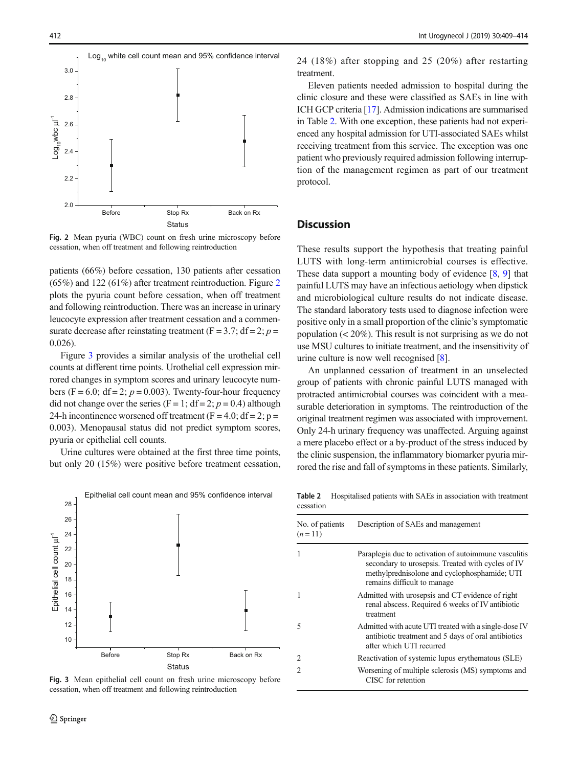

Fig. 2 Mean pyuria (WBC) count on fresh urine microscopy before cessation, when off treatment and following reintroduction

patients (66%) before cessation, 130 patients after cessation (65%) and 122 (61%) after treatment reintroduction. Figure 2 plots the pyuria count before cessation, when off treatment and following reintroduction. There was an increase in urinary leucocyte expression after treatment cessation and a commensurate decrease after reinstating treatment ( $F = 3.7$ ; df = 2; p = 0.026).

Figure 3 provides a similar analysis of the urothelial cell counts at different time points. Urothelial cell expression mirrored changes in symptom scores and urinary leucocyte numbers (F = 6.0; df = 2;  $p = 0.003$ ). Twenty-four-hour frequency did not change over the series (F = 1; df = 2;  $p = 0.4$ ) although 24-h incontinence worsened off treatment ( $F = 4.0$ ; df = 2; p = 0.003). Menopausal status did not predict symptom scores, pyuria or epithelial cell counts.

Urine cultures were obtained at the first three time points, but only 20 (15%) were positive before treatment cessation,



Fig. 3 Mean epithelial cell count on fresh urine microscopy before cessation, when off treatment and following reintroduction

24 (18%) after stopping and 25 (20%) after restarting treatment.

Eleven patients needed admission to hospital during the clinic closure and these were classified as SAEs in line with ICH GCP criteria [\[17\]](#page-5-0). Admission indications are summarised in Table 2. With one exception, these patients had not experienced any hospital admission for UTI-associated SAEs whilst receiving treatment from this service. The exception was one patient who previously required admission following interruption of the management regimen as part of our treatment protocol.

#### **Discussion**

These results support the hypothesis that treating painful LUTS with long-term antimicrobial courses is effective. These data support a mounting body of evidence  $[8, 9]$  $[8, 9]$  $[8, 9]$  $[8, 9]$  $[8, 9]$  that painful LUTS may have an infectious aetiology when dipstick and microbiological culture results do not indicate disease. The standard laboratory tests used to diagnose infection were positive only in a small proportion of the clinic's symptomatic population (< 20%). This result is not surprising as we do not use MSU cultures to initiate treatment, and the insensitivity of urine culture is now well recognised [\[8](#page-5-0)].

An unplanned cessation of treatment in an unselected group of patients with chronic painful LUTS managed with protracted antimicrobial courses was coincident with a measurable deterioration in symptoms. The reintroduction of the original treatment regimen was associated with improvement. Only 24-h urinary frequency was unaffected. Arguing against a mere placebo effect or a by-product of the stress induced by the clinic suspension, the inflammatory biomarker pyuria mirrored the rise and fall of symptoms in these patients. Similarly,

Table 2 Hospitalised patients with SAEs in association with treatment cessation

| No. of patients<br>$(n=11)$ | Description of SAEs and management                                                                                                                                                        |
|-----------------------------|-------------------------------------------------------------------------------------------------------------------------------------------------------------------------------------------|
|                             | Paraplegia due to activation of autoimmune vasculitis<br>secondary to urosepsis. Treated with cycles of IV<br>methylprednisolone and cyclophosphamide; UTI<br>remains difficult to manage |
|                             | Admitted with urosepsis and CT evidence of right<br>renal abscess. Required 6 weeks of IV antibiotic<br>treatment                                                                         |
| 5                           | Admitted with acute UTI treated with a single-dose IV<br>antibiotic treatment and 5 days of oral antibiotics<br>after which UTI recurred                                                  |
| $\mathcal{D}$               | Reactivation of systemic lupus erythematous (SLE)                                                                                                                                         |
| $\mathcal{D}$               | Worsening of multiple sclerosis (MS) symptoms and<br>CISC for retention                                                                                                                   |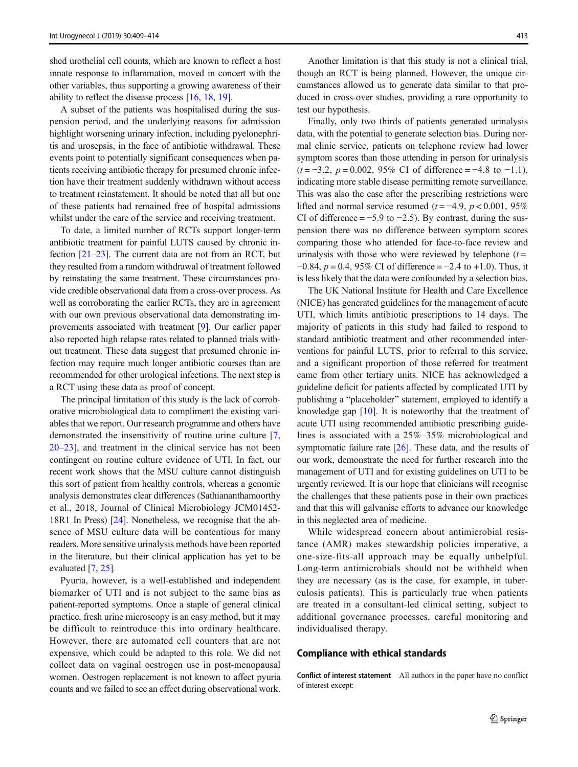shed urothelial cell counts, which are known to reflect a host innate response to inflammation, moved in concert with the other variables, thus supporting a growing awareness of their ability to reflect the disease process [\[16,](#page-5-0) [18,](#page-5-0) [19\]](#page-5-0).

A subset of the patients was hospitalised during the suspension period, and the underlying reasons for admission highlight worsening urinary infection, including pyelonephritis and urosepsis, in the face of antibiotic withdrawal. These events point to potentially significant consequences when patients receiving antibiotic therapy for presumed chronic infection have their treatment suddenly withdrawn without access to treatment reinstatement. It should be noted that all but one of these patients had remained free of hospital admissions whilst under the care of the service and receiving treatment.

To date, a limited number of RCTs support longer-term antibiotic treatment for painful LUTS caused by chronic infection [\[21](#page-5-0)–[23\]](#page-5-0). The current data are not from an RCT, but they resulted from a random withdrawal of treatment followed by reinstating the same treatment. These circumstances provide credible observational data from a cross-over process. As well as corroborating the earlier RCTs, they are in agreement with our own previous observational data demonstrating improvements associated with treatment [[9\]](#page-5-0). Our earlier paper also reported high relapse rates related to planned trials without treatment. These data suggest that presumed chronic infection may require much longer antibiotic courses than are recommended for other urological infections. The next step is a RCT using these data as proof of concept.

The principal limitation of this study is the lack of corroborative microbiological data to compliment the existing variables that we report. Our research programme and others have demonstrated the insensitivity of routine urine culture [[7,](#page-5-0) [20](#page-5-0)–[23](#page-5-0)], and treatment in the clinical service has not been contingent on routine culture evidence of UTI. In fact, our recent work shows that the MSU culture cannot distinguish this sort of patient from healthy controls, whereas a genomic analysis demonstrates clear differences (Sathiananthamoorthy et al., 2018, Journal of Clinical Microbiology JCM01452- 18R1 In Press) [\[24\]](#page-5-0). Nonetheless, we recognise that the absence of MSU culture data will be contentious for many readers. More sensitive urinalysis methods have been reported in the literature, but their clinical application has yet to be evaluated [[7,](#page-5-0) [25\]](#page-5-0).

Pyuria, however, is a well-established and independent biomarker of UTI and is not subject to the same bias as patient-reported symptoms. Once a staple of general clinical practice, fresh urine microscopy is an easy method, but it may be difficult to reintroduce this into ordinary healthcare. However, there are automated cell counters that are not expensive, which could be adapted to this role. We did not collect data on vaginal oestrogen use in post-menopausal women. Oestrogen replacement is not known to affect pyuria counts and we failed to see an effect during observational work.

Another limitation is that this study is not a clinical trial, though an RCT is being planned. However, the unique circumstances allowed us to generate data similar to that produced in cross-over studies, providing a rare opportunity to test our hypothesis.

Finally, only two thirds of patients generated urinalysis data, with the potential to generate selection bias. During normal clinic service, patients on telephone review had lower symptom scores than those attending in person for urinalysis  $(t = -3.2, p = 0.002, 95\% \text{ CI of difference} = -4.8 \text{ to } -1.1$ indicating more stable disease permitting remote surveillance. This was also the case after the prescribing restrictions were lifted and normal service resumed ( $t = -4.9$ ,  $p < 0.001$ , 95% CI of difference =  $-5.9$  to  $-2.5$ ). By contrast, during the suspension there was no difference between symptom scores comparing those who attended for face-to-face review and urinalysis with those who were reviewed by telephone  $(t =$  $-0.84$ ,  $p = 0.4$ , 95% CI of difference =  $-2.4$  to  $+1.0$ ). Thus, it is less likely that the data were confounded by a selection bias.

The UK National Institute for Health and Care Excellence (NICE) has generated guidelines for the management of acute UTI, which limits antibiotic prescriptions to 14 days. The majority of patients in this study had failed to respond to standard antibiotic treatment and other recommended interventions for painful LUTS, prior to referral to this service, and a significant proportion of those referred for treatment came from other tertiary units. NICE has acknowledged a guideline deficit for patients affected by complicated UTI by publishing a "placeholder" statement, employed to identify a knowledge gap [\[10](#page-5-0)]. It is noteworthy that the treatment of acute UTI using recommended antibiotic prescribing guidelines is associated with a 25%–35% microbiological and symptomatic failure rate [\[26](#page-5-0)]. These data, and the results of our work, demonstrate the need for further research into the management of UTI and for existing guidelines on UTI to be urgently reviewed. It is our hope that clinicians will recognise the challenges that these patients pose in their own practices and that this will galvanise efforts to advance our knowledge in this neglected area of medicine.

While widespread concern about antimicrobial resistance (AMR) makes stewardship policies imperative, a one-size-fits-all approach may be equally unhelpful. Long-term antimicrobials should not be withheld when they are necessary (as is the case, for example, in tuberculosis patients). This is particularly true when patients are treated in a consultant-led clinical setting, subject to additional governance processes, careful monitoring and individualised therapy.

#### Compliance with ethical standards

Conflict of interest statement All authors in the paper have no conflict of interest except: